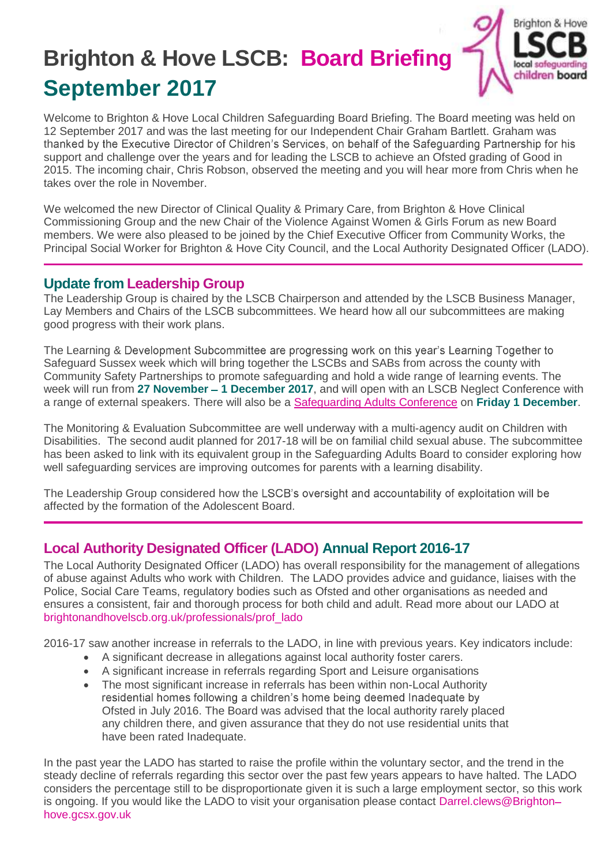# **Brighton & Hove LSCB: Board Briefing September 2017**



Welcome to Brighton & Hove Local Children Safeguarding Board Briefing. The Board meeting was held on 12 September 2017 and was the last meeting for our Independent Chair Graham Bartlett. Graham was thanked by the Executive Director of Children's Services, on behalf of the Safeguarding Partnership for his support and challenge over the years and for leading the LSCB to achieve an Ofsted grading of Good in 2015. The incoming chair, Chris Robson, observed the meeting and you will hear more from Chris when he takes over the role in November.

We welcomed the new Director of Clinical Quality & Primary Care, from Brighton & Hove Clinical Commissioning Group and the new Chair of the Violence Against Women & Girls Forum as new Board members. We were also pleased to be joined by the Chief Executive Officer from Community Works, the Principal Social Worker for Brighton & Hove City Council, and the Local Authority Designated Officer (LADO).

#### **Update from Leadership Group**

The Leadership Group is chaired by the LSCB Chairperson and attended by the LSCB Business Manager, Lay Members and Chairs of the LSCB subcommittees. We heard how all our subcommittees are making good progress with their work plans.

The Learning & Development Subcommittee are progressing work on this year's Learning Together to Safeguard Sussex week which will bring together the LSCBs and SABs from across the county with Community Safety Partnerships to promote safeguarding and hold a wide range of learning events. The week will run from 27 November - 1 December 2017, and will open with an LSCB Neglect Conference with a range of external speakers. There will also be a [Safeguarding Adults Conference](https://learning.brighton-hove.gov.uk/courses/bookings/c_detail.asp?cid=13410&iscancelled=0&curpage=&keyword=&ds=&unconfirmed=&cs=&subid=&keystage=0&sdate=&searchcode=&asearch=&tutid=&estid=&sday=&smonth=&syear=&targetid=&cal=1&calday=1&calmonth=12&calyear=2017&caldate=&submonth=&subyear=&list=&palist=&frompage=&a=&b=&c=&d=&s_leaid=) on **Friday 1 December**.

The Monitoring & Evaluation Subcommittee are well underway with a multi-agency audit on Children with Disabilities. The second audit planned for 2017-18 will be on familial child sexual abuse. The subcommittee has been asked to link with its equivalent group in the Safeguarding Adults Board to consider exploring how well safeguarding services are improving outcomes for parents with a learning disability.

The Leadership Group considered how the LSCB's oversight and accountability of exploitation will be affected by the formation of the Adolescent Board.

## **Local Authority Designated Officer (LADO) Annual Report 2016-17**

The Local Authority Designated Officer (LADO) has overall responsibility for the management of allegations of abuse against Adults who work with Children. The LADO provides advice and guidance, liaises with the Police, Social Care Teams, regulatory bodies such as Ofsted and other organisations as needed and ensures a consistent, fair and thorough process for both child and adult. Read more about our LADO at [brightonandhovelscb.org.uk/professionals/prof\\_lado](http://brightonandhovelscb.org.uk/professionals/prof_lado/)

2016-17 saw another increase in referrals to the LADO, in line with previous years. Key indicators include:

- A significant decrease in allegations against local authority foster carers.
- A significant increase in referrals regarding Sport and Leisure organisations
- The most significant increase in referrals has been within non-Local Authority residential homes following a children's home being deemed Inadequate by Ofsted in July 2016. The Board was advised that the local authority rarely placed any children there, and given assurance that they do not use residential units that have been rated Inadequate.

In the past year the LADO has started to raise the profile within the voluntary sector, and the trend in the steady decline of referrals regarding this sector over the past few years appears to have halted. The LADO considers the percentage still to be disproportionate given it is such a large employment sector, so this work is ongoing. If you would like the LADO to visit your organisation please contact [Darrel.clews@Brighton](mailto:Darrel.clews@Brighton–hove.gcsx.gov.uk)[hove.gcsx.gov.uk](mailto:Darrel.clews@Brighton–hove.gcsx.gov.uk)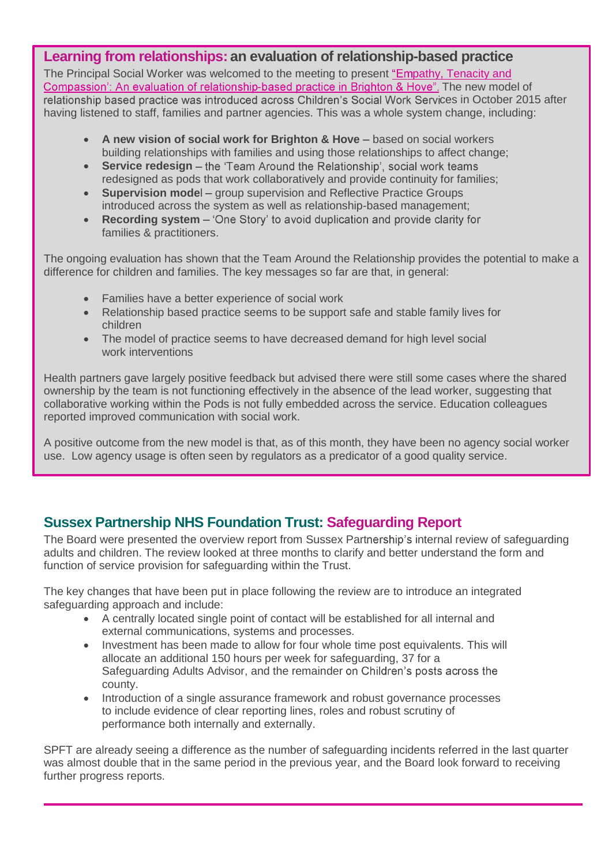### **Learning from relationships: an evaluation of relationship-based practice**

The Principal Social Worker was welcomed to the meeting to present "Empathy, Tenacity and Compassion': An evaluation of relationship[-](http://brightonandhovelscb.org.uk/an-evaluation-of-relationship-based-practice-in-brighton-hove/)based practice in Brighton & Hove". The new model of relationship based practice was introduced across Children's Social Work Services in October 2015 after having listened to staff, families and partner agencies. This was a whole system change, including:

- A new vision of social work for Brighton & Hove based on social workers building relationships with families and using those relationships to affect change;
- **Service redesign** the 'Team Around the Relationship', social work teams redesigned as pods that work collaboratively and provide continuity for families;
- **Supervision mode** group supervision and Reflective Practice Groups introduced across the system as well as relationship-based management;
- **Recording system** 'One Story' to avoid duplication and provide clarity for families & practitioners.

The ongoing evaluation has shown that the Team Around the Relationship provides the potential to make a difference for children and families. The key messages so far are that, in general:

- Families have a better experience of social work
- Relationship based practice seems to be support safe and stable family lives for children
- The model of practice seems to have decreased demand for high level social work interventions

Health partners gave largely positive feedback but advised there were still some cases where the shared ownership by the team is not functioning effectively in the absence of the lead worker, suggesting that collaborative working within the Pods is not fully embedded across the service. Education colleagues reported improved communication with social work.

A positive outcome from the new model is that, as of this month, they have been no agency social worker use. Low agency usage is often seen by regulators as a predicator of a good quality service.

## **Sussex Partnership NHS Foundation Trust: Safeguarding Report**

The Board were presented the overview report from Sussex Partnership's internal review of safeguarding adults and children. The review looked at three months to clarify and better understand the form and function of service provision for safeguarding within the Trust.

The key changes that have been put in place following the review are to introduce an integrated safeguarding approach and include:

- A centrally located single point of contact will be established for all internal and external communications, systems and processes.
- Investment has been made to allow for four whole time post equivalents. This will allocate an additional 150 hours per week for safeguarding, 37 for a Safeguarding Adults Advisor, and the remainder on Children's posts across the county.
- Introduction of a single assurance framework and robust governance processes to include evidence of clear reporting lines, roles and robust scrutiny of performance both internally and externally.

SPFT are already seeing a difference as the number of safeguarding incidents referred in the last quarter was almost double that in the same period in the previous year, and the Board look forward to receiving further progress reports.